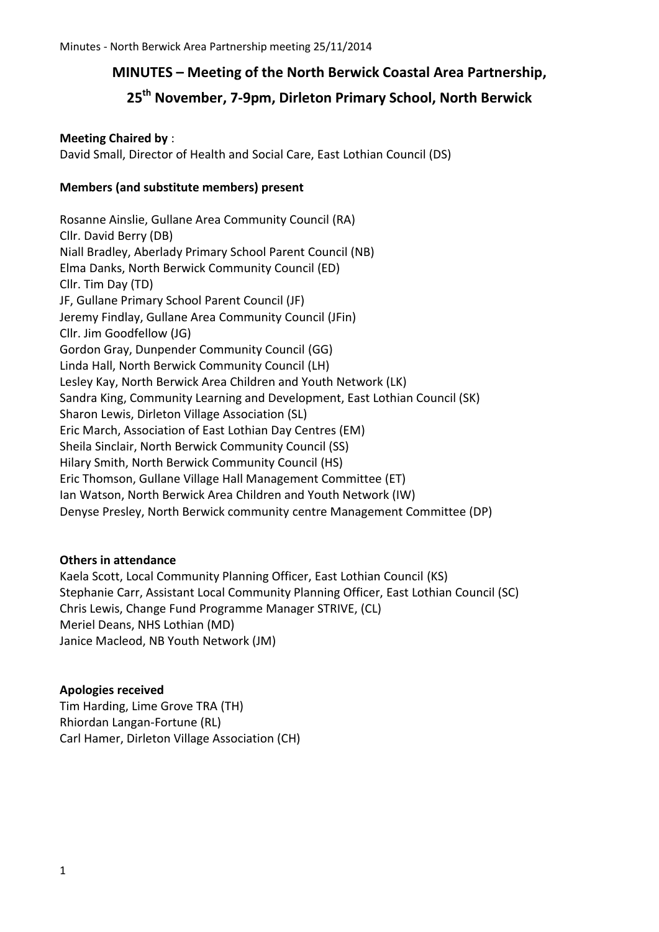## **MINUTES – Meeting of the North Berwick Coastal Area Partnership,**

# **25th November, 7-9pm, Dirleton Primary School, North Berwick**

#### **Meeting Chaired by** :

David Small, Director of Health and Social Care, East Lothian Council (DS)

#### **Members (and substitute members) present**

Rosanne Ainslie, Gullane Area Community Council (RA) Cllr. David Berry (DB) Niall Bradley, Aberlady Primary School Parent Council (NB) Elma Danks, North Berwick Community Council (ED) Cllr. Tim Day (TD) JF, Gullane Primary School Parent Council (JF) Jeremy Findlay, Gullane Area Community Council (JFin) Cllr. Jim Goodfellow (JG) Gordon Gray, Dunpender Community Council (GG) Linda Hall, North Berwick Community Council (LH) Lesley Kay, North Berwick Area Children and Youth Network (LK) Sandra King, Community Learning and Development, East Lothian Council (SK) Sharon Lewis, Dirleton Village Association (SL) Eric March, Association of East Lothian Day Centres (EM) Sheila Sinclair, North Berwick Community Council (SS) Hilary Smith, North Berwick Community Council (HS) Eric Thomson, Gullane Village Hall Management Committee (ET) Ian Watson, North Berwick Area Children and Youth Network (IW) Denyse Presley, North Berwick community centre Management Committee (DP)

## **Others in attendance**

Kaela Scott, Local Community Planning Officer, East Lothian Council (KS) Stephanie Carr, Assistant Local Community Planning Officer, East Lothian Council (SC) Chris Lewis, Change Fund Programme Manager STRIVE, (CL) Meriel Deans, NHS Lothian (MD) Janice Macleod, NB Youth Network (JM)

#### **Apologies received**

Tim Harding, Lime Grove TRA (TH) Rhiordan Langan-Fortune (RL) Carl Hamer, Dirleton Village Association (CH)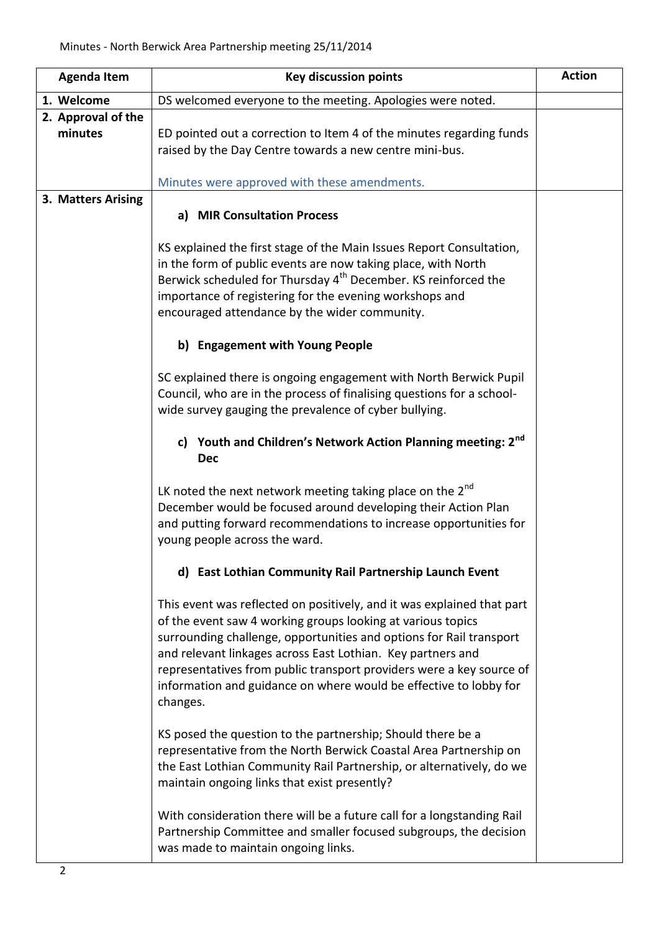| <b>Agenda Item</b>            | <b>Key discussion points</b>                                                                                                                                                                                                                                                                                                                                                                                                         | <b>Action</b> |
|-------------------------------|--------------------------------------------------------------------------------------------------------------------------------------------------------------------------------------------------------------------------------------------------------------------------------------------------------------------------------------------------------------------------------------------------------------------------------------|---------------|
| 1. Welcome                    | DS welcomed everyone to the meeting. Apologies were noted.                                                                                                                                                                                                                                                                                                                                                                           |               |
| 2. Approval of the<br>minutes | ED pointed out a correction to Item 4 of the minutes regarding funds<br>raised by the Day Centre towards a new centre mini-bus.<br>Minutes were approved with these amendments.                                                                                                                                                                                                                                                      |               |
| 3. Matters Arising            |                                                                                                                                                                                                                                                                                                                                                                                                                                      |               |
|                               | a) MIR Consultation Process                                                                                                                                                                                                                                                                                                                                                                                                          |               |
|                               | KS explained the first stage of the Main Issues Report Consultation,<br>in the form of public events are now taking place, with North<br>Berwick scheduled for Thursday 4 <sup>th</sup> December. KS reinforced the<br>importance of registering for the evening workshops and<br>encouraged attendance by the wider community.                                                                                                      |               |
|                               | b) Engagement with Young People                                                                                                                                                                                                                                                                                                                                                                                                      |               |
|                               | SC explained there is ongoing engagement with North Berwick Pupil<br>Council, who are in the process of finalising questions for a school-<br>wide survey gauging the prevalence of cyber bullying.                                                                                                                                                                                                                                  |               |
|                               | c) Youth and Children's Network Action Planning meeting: 2nd<br><b>Dec</b>                                                                                                                                                                                                                                                                                                                                                           |               |
|                               | LK noted the next network meeting taking place on the $2^{nd}$<br>December would be focused around developing their Action Plan<br>and putting forward recommendations to increase opportunities for<br>young people across the ward.                                                                                                                                                                                                |               |
|                               | d) East Lothian Community Rail Partnership Launch Event                                                                                                                                                                                                                                                                                                                                                                              |               |
|                               | This event was reflected on positively, and it was explained that part<br>of the event saw 4 working groups looking at various topics<br>surrounding challenge, opportunities and options for Rail transport<br>and relevant linkages across East Lothian. Key partners and<br>representatives from public transport providers were a key source of<br>information and guidance on where would be effective to lobby for<br>changes. |               |
|                               | KS posed the question to the partnership; Should there be a<br>representative from the North Berwick Coastal Area Partnership on<br>the East Lothian Community Rail Partnership, or alternatively, do we<br>maintain ongoing links that exist presently?                                                                                                                                                                             |               |
|                               | With consideration there will be a future call for a longstanding Rail<br>Partnership Committee and smaller focused subgroups, the decision<br>was made to maintain ongoing links.                                                                                                                                                                                                                                                   |               |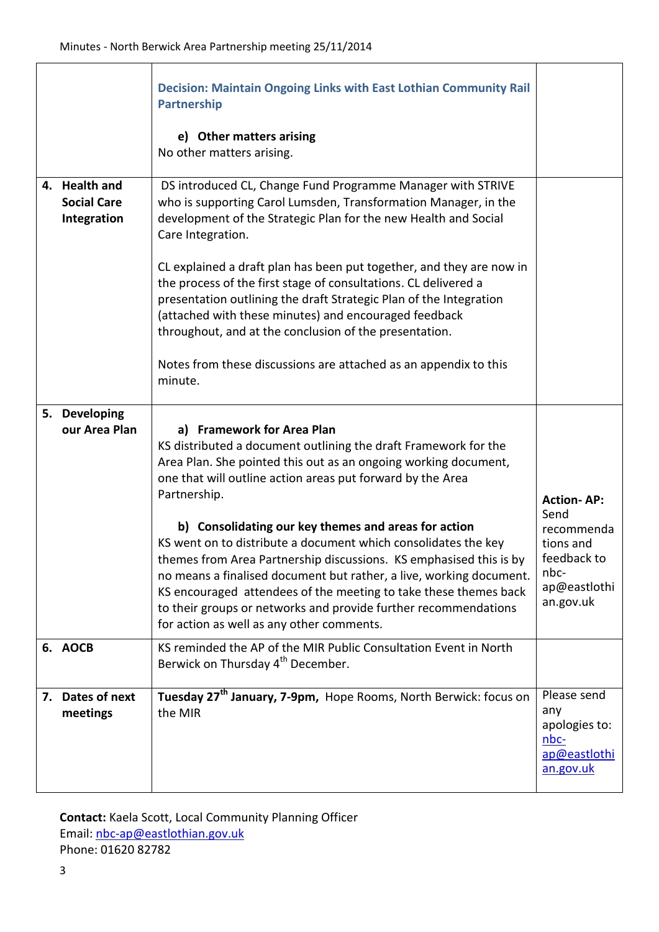|                                                    | <b>Decision: Maintain Ongoing Links with East Lothian Community Rail</b><br><b>Partnership</b><br>e) Other matters arising<br>No other matters arising.                                                                                                                                                                                                                                                                                                                                                                                                                                                                                                                                                   |                                                                                                          |
|----------------------------------------------------|-----------------------------------------------------------------------------------------------------------------------------------------------------------------------------------------------------------------------------------------------------------------------------------------------------------------------------------------------------------------------------------------------------------------------------------------------------------------------------------------------------------------------------------------------------------------------------------------------------------------------------------------------------------------------------------------------------------|----------------------------------------------------------------------------------------------------------|
| 4. Health and<br><b>Social Care</b><br>Integration | DS introduced CL, Change Fund Programme Manager with STRIVE<br>who is supporting Carol Lumsden, Transformation Manager, in the<br>development of the Strategic Plan for the new Health and Social<br>Care Integration.<br>CL explained a draft plan has been put together, and they are now in<br>the process of the first stage of consultations. CL delivered a<br>presentation outlining the draft Strategic Plan of the Integration<br>(attached with these minutes) and encouraged feedback<br>throughout, and at the conclusion of the presentation.<br>Notes from these discussions are attached as an appendix to this<br>minute.                                                                 |                                                                                                          |
| 5. Developing<br>our Area Plan                     | a) Framework for Area Plan<br>KS distributed a document outlining the draft Framework for the<br>Area Plan. She pointed this out as an ongoing working document,<br>one that will outline action areas put forward by the Area<br>Partnership.<br>b) Consolidating our key themes and areas for action<br>KS went on to distribute a document which consolidates the key<br>themes from Area Partnership discussions. KS emphasised this is by<br>no means a finalised document but rather, a live, working document.<br>KS encouraged attendees of the meeting to take these themes back<br>to their groups or networks and provide further recommendations<br>for action as well as any other comments. | <b>Action-AP:</b><br>Send<br>recommenda<br>tions and<br>feedback to<br>nbc-<br>ap@eastlothi<br>an.gov.uk |
| 6. AOCB                                            | KS reminded the AP of the MIR Public Consultation Event in North<br>Berwick on Thursday 4 <sup>th</sup> December.                                                                                                                                                                                                                                                                                                                                                                                                                                                                                                                                                                                         |                                                                                                          |
| 7. Dates of next<br>meetings                       | Tuesday 27 <sup>th</sup> January, 7-9pm, Hope Rooms, North Berwick: focus on<br>the MIR                                                                                                                                                                                                                                                                                                                                                                                                                                                                                                                                                                                                                   | Please send<br>any<br>apologies to:<br>nbc-<br>ap@eastlothi<br>an.gov.uk                                 |

**Contact:** Kaela Scott, Local Community Planning Officer Email: [nbc-ap@eastlothian.gov.uk](mailto:nbc-ap@eastlothian.gov.uk) Phone: 01620 82782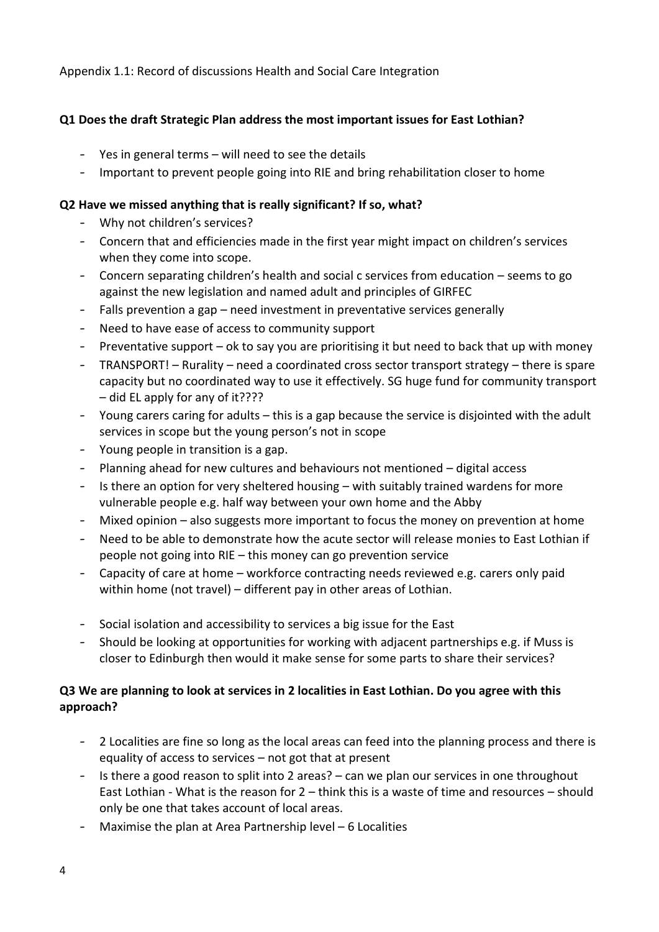Appendix 1.1: Record of discussions Health and Social Care Integration

## **Q1 Does the draft Strategic Plan address the most important issues for East Lothian?**

- Yes in general terms will need to see the details
- Important to prevent people going into RIE and bring rehabilitation closer to home

#### **Q2 Have we missed anything that is really significant? If so, what?**

- Why not children's services?
- Concern that and efficiencies made in the first year might impact on children's services when they come into scope.
- Concern separating children's health and social c services from education seems to go against the new legislation and named adult and principles of GIRFEC
- Falls prevention a gap need investment in preventative services generally
- Need to have ease of access to community support
- Preventative support ok to say you are prioritising it but need to back that up with money
- TRANSPORT! Rurality need a coordinated cross sector transport strategy there is spare capacity but no coordinated way to use it effectively. SG huge fund for community transport – did EL apply for any of it????
- Young carers caring for adults this is a gap because the service is disjointed with the adult services in scope but the young person's not in scope
- Young people in transition is a gap.
- Planning ahead for new cultures and behaviours not mentioned digital access
- Is there an option for very sheltered housing with suitably trained wardens for more vulnerable people e.g. half way between your own home and the Abby
- Mixed opinion also suggests more important to focus the money on prevention at home
- Need to be able to demonstrate how the acute sector will release monies to East Lothian if people not going into RIE – this money can go prevention service
- Capacity of care at home workforce contracting needs reviewed e.g. carers only paid within home (not travel) – different pay in other areas of Lothian.
- Social isolation and accessibility to services a big issue for the East
- Should be looking at opportunities for working with adjacent partnerships e.g. if Muss is closer to Edinburgh then would it make sense for some parts to share their services?

#### **Q3 We are planning to look at services in 2 localities in East Lothian. Do you agree with this approach?**

- 2 Localities are fine so long as the local areas can feed into the planning process and there is equality of access to services – not got that at present
- Is there a good reason to split into 2 areas? can we plan our services in one throughout East Lothian - What is the reason for 2 – think this is a waste of time and resources – should only be one that takes account of local areas.
- Maximise the plan at Area Partnership level 6 Localities